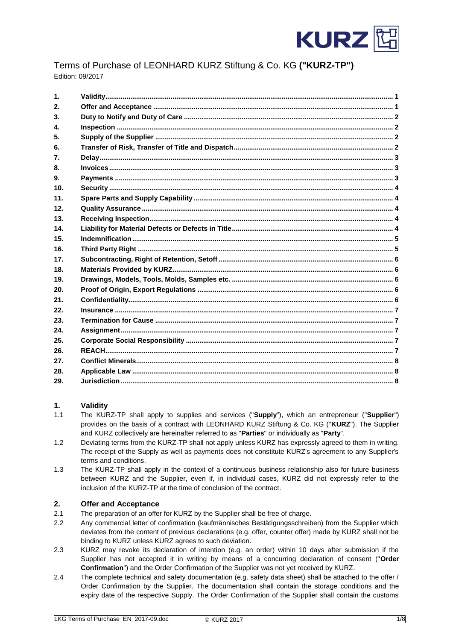

# Terms of Purchase of LEONHARD KURZ Stiftung & Co. KG **("KURZ-TP")** Edition: 09/2017

| $\mathbf{1}$ .  |  |
|-----------------|--|
| 2.              |  |
| 3.              |  |
| 4.              |  |
| 5.              |  |
| 6.              |  |
| 7.              |  |
| 8.              |  |
| 9.              |  |
| 10 <sub>1</sub> |  |
| 11.             |  |
| 12.             |  |
| 13 <sub>1</sub> |  |
| 14.             |  |
| 15.             |  |
| 16.             |  |
| 17.             |  |
| 18.             |  |
| 19.             |  |
| 20.             |  |
| 21.             |  |
| 22.             |  |
| 23.             |  |
| 24.             |  |
| 25.             |  |
| 26.             |  |
| 27.             |  |
| 28.             |  |
| 29.             |  |
|                 |  |

# <span id="page-0-0"></span>**1. Validity**

- 1.1 The KURZ-TP shall apply to supplies and services ("**Supply**"), which an entrepreneur ("**Supplier**") provides on the basis of a contract with LEONHARD KURZ Stiftung & Co. KG ("**KURZ**"). The Supplier and KURZ collectively are hereinafter referred to as "**Parties**" or individually as "**Party**".
- 1.2 Deviating terms from the KURZ-TP shall not apply unless KURZ has expressly agreed to them in writing. The receipt of the Supply as well as payments does not constitute KURZ's agreement to any Supplier's terms and conditions.
- 1.3 The KURZ-TP shall apply in the context of a continuous business relationship also for future business between KURZ and the Supplier, even if, in individual cases, KURZ did not expressly refer to the inclusion of the KURZ-TP at the time of conclusion of the contract.

# <span id="page-0-1"></span>**2. Offer and Acceptance**

- 2.1 The preparation of an offer for KURZ by the Supplier shall be free of charge.
- 2.2 Any commercial letter of confirmation (kaufmännisches Bestätigungsschreiben) from the Supplier which deviates from the content of previous declarations (e.g. offer, counter offer) made by KURZ shall not be binding to KURZ unless KURZ agrees to such deviation.
- 2.3 KURZ may revoke its declaration of intention (e.g. an order) within 10 days after submission if the Supplier has not accepted it in writing by means of a concurring declaration of consent ("**Order Confirmation**") and the Order Confirmation of the Supplier was not yet received by KURZ.
- 2.4 The complete technical and safety documentation (e.g. safety data sheet) shall be attached to the offer / Order Confirmation by the Supplier. The documentation shall contain the storage conditions and the expiry date of the respective Supply. The Order Confirmation of the Supplier shall contain the customs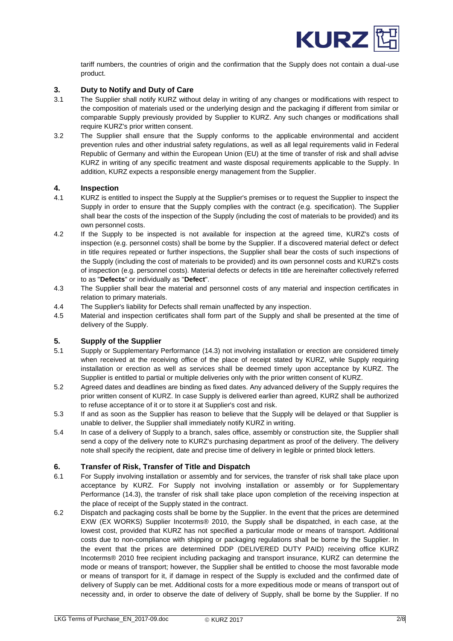

tariff numbers, the countries of origin and the confirmation that the Supply does not contain a dual-use product.

#### <span id="page-1-0"></span>**3. Duty to Notify and Duty of Care**

- 3.1 The Supplier shall notify KURZ without delay in writing of any changes or modifications with respect to the composition of materials used or the underlying design and the packaging if different from similar or comparable Supply previously provided by Supplier to KURZ. Any such changes or modifications shall require KURZ's prior written consent.
- 3.2 The Supplier shall ensure that the Supply conforms to the applicable environmental and accident prevention rules and other industrial safety regulations, as well as all legal requirements valid in Federal Republic of Germany and within the European Union (EU) at the time of transfer of risk and shall advise KURZ in writing of any specific treatment and waste disposal requirements applicable to the Supply. In addition, KURZ expects a responsible energy management from the Supplier.

#### <span id="page-1-1"></span>**4. Inspection**

- 4.1 KURZ is entitled to inspect the Supply at the Supplier's premises or to request the Supplier to inspect the Supply in order to ensure that the Supply complies with the contract (e.g. specification). The Supplier shall bear the costs of the inspection of the Supply (including the cost of materials to be provided) and its own personnel costs.
- 4.2 If the Supply to be inspected is not available for inspection at the agreed time, KURZ's costs of inspection (e.g. personnel costs) shall be borne by the Supplier. If a discovered material defect or defect in title requires repeated or further inspections, the Supplier shall bear the costs of such inspections of the Supply (including the cost of materials to be provided) and its own personnel costs and KURZ's costs of inspection (e.g. personnel costs). Material defects or defects in title are hereinafter collectively referred to as "**Defects**" or individually as "**Defect**".
- 4.3 The Supplier shall bear the material and personnel costs of any material and inspection certificates in relation to primary materials.
- 4.4 The Supplier's liability for Defects shall remain unaffected by any inspection.
- 4.5 Material and inspection certificates shall form part of the Supply and shall be presented at the time of delivery of the Supply.

# <span id="page-1-2"></span>**5. Supply of the Supplier**

- 5.1 Supply or Supplementary Performance (14.3) not involving installation or erection are considered timely when received at the receiving office of the place of receipt stated by KURZ, while Supply requiring installation or erection as well as services shall be deemed timely upon acceptance by KURZ. The Supplier is entitled to partial or multiple deliveries only with the prior written consent of KURZ.
- 5.2 Agreed dates and deadlines are binding as fixed dates. Any advanced delivery of the Supply requires the prior written consent of KURZ. In case Supply is delivered earlier than agreed, KURZ shall be authorized to refuse acceptance of it or to store it at Supplier's cost and risk.
- 5.3 If and as soon as the Supplier has reason to believe that the Supply will be delayed or that Supplier is unable to deliver, the Supplier shall immediately notify KURZ in writing.
- 5.4 In case of a delivery of Supply to a branch, sales office, assembly or construction site, the Supplier shall send a copy of the delivery note to KURZ's purchasing department as proof of the delivery. The delivery note shall specify the recipient, date and precise time of delivery in legible or printed block letters.

#### <span id="page-1-3"></span>**6. Transfer of Risk, Transfer of Title and Dispatch**

- 6.1 For Supply involving installation or assembly and for services, the transfer of risk shall take place upon acceptance by KURZ. For Supply not involving installation or assembly or for Supplementary Performance (14.3), the transfer of risk shall take place upon completion of the receiving inspection at the place of receipt of the Supply stated in the contract.
- 6.2 Dispatch and packaging costs shall be borne by the Supplier. In the event that the prices are determined EXW (EX WORKS) Supplier Incoterms® 2010, the Supply shall be dispatched, in each case, at the lowest cost, provided that KURZ has not specified a particular mode or means of transport. Additional costs due to non-compliance with shipping or packaging regulations shall be borne by the Supplier. In the event that the prices are determined DDP (DELIVERED DUTY PAID) receiving office KURZ Incoterms® 2010 free recipient including packaging and transport insurance, KURZ can determine the mode or means of transport; however, the Supplier shall be entitled to choose the most favorable mode or means of transport for it, if damage in respect of the Supply is excluded and the confirmed date of delivery of Supply can be met. Additional costs for a more expeditious mode or means of transport out of necessity and, in order to observe the date of delivery of Supply, shall be borne by the Supplier. If no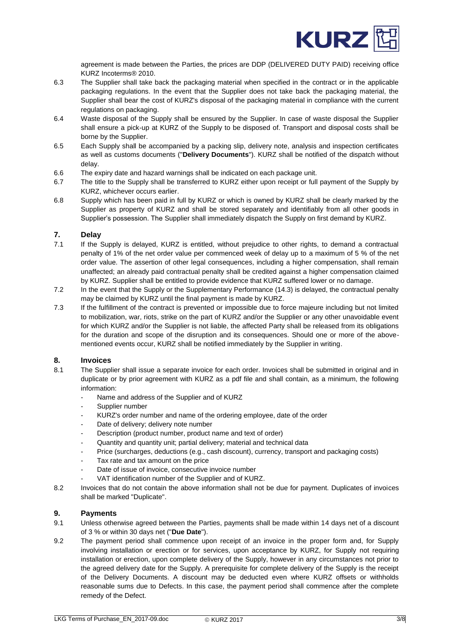

agreement is made between the Parties, the prices are DDP (DELIVERED DUTY PAID) receiving office KURZ Incoterms® 2010.

- 6.3 The Supplier shall take back the packaging material when specified in the contract or in the applicable packaging regulations. In the event that the Supplier does not take back the packaging material, the Supplier shall bear the cost of KURZ's disposal of the packaging material in compliance with the current regulations on packaging.
- 6.4 Waste disposal of the Supply shall be ensured by the Supplier. In case of waste disposal the Supplier shall ensure a pick-up at KURZ of the Supply to be disposed of. Transport and disposal costs shall be borne by the Supplier.
- 6.5 Each Supply shall be accompanied by a packing slip, delivery note, analysis and inspection certificates as well as customs documents ("**Delivery Documents**"). KURZ shall be notified of the dispatch without delay.
- 6.6 The expiry date and hazard warnings shall be indicated on each package unit.
- 6.7 The title to the Supply shall be transferred to KURZ either upon receipt or full payment of the Supply by KURZ, whichever occurs earlier.
- 6.8 Supply which has been paid in full by KURZ or which is owned by KURZ shall be clearly marked by the Supplier as property of KURZ and shall be stored separately and identifiably from all other goods in Supplier's possession. The Supplier shall immediately dispatch the Supply on first demand by KURZ.

#### <span id="page-2-0"></span>**7. Delay**

- 7.1 If the Supply is delayed, KURZ is entitled, without prejudice to other rights, to demand a contractual penalty of 1% of the net order value per commenced week of delay up to a maximum of 5 % of the net order value. The assertion of other legal consequences, including a higher compensation, shall remain unaffected; an already paid contractual penalty shall be credited against a higher compensation claimed by KURZ. Supplier shall be entitled to provide evidence that KURZ suffered lower or no damage.
- 7.2 In the event that the Supply or the Supplementary Performance (14.3) is delayed, the contractual penalty may be claimed by KURZ until the final payment is made by KURZ.
- 7.3 If the fulfillment of the contract is prevented or impossible due to force majeure including but not limited to mobilization, war, riots, strike on the part of KURZ and/or the Supplier or any other unavoidable event for which KURZ and/or the Supplier is not liable, the affected Party shall be released from its obligations for the duration and scope of the disruption and its consequences. Should one or more of the abovementioned events occur, KURZ shall be notified immediately by the Supplier in writing.

### <span id="page-2-1"></span>**8. Invoices**

- 8.1 The Supplier shall issue a separate invoice for each order. Invoices shall be submitted in original and in duplicate or by prior agreement with KURZ as a pdf file and shall contain, as a minimum, the following information:
	- Name and address of the Supplier and of KURZ
	- Supplier number
	- KURZ's order number and name of the ordering employee, date of the order
	- Date of delivery; delivery note number
	- Description (product number, product name and text of order)
	- Quantity and quantity unit; partial delivery; material and technical data
	- Price (surcharges, deductions (e.g., cash discount), currency, transport and packaging costs)
	- Tax rate and tax amount on the price
	- Date of issue of invoice, consecutive invoice number
	- VAT identification number of the Supplier and of KURZ.
- 8.2 Invoices that do not contain the above information shall not be due for payment. Duplicates of invoices shall be marked "Duplicate".

# <span id="page-2-2"></span>**9. Payments**

- 9.1 Unless otherwise agreed between the Parties, payments shall be made within 14 days net of a discount of 3 % or within 30 days net ("**Due Date**").
- 9.2 The payment period shall commence upon receipt of an invoice in the proper form and, for Supply involving installation or erection or for services, upon acceptance by KURZ, for Supply not requiring installation or erection, upon complete delivery of the Supply, however in any circumstances not prior to the agreed delivery date for the Supply. A prerequisite for complete delivery of the Supply is the receipt of the Delivery Documents. A discount may be deducted even where KURZ offsets or withholds reasonable sums due to Defects. In this case, the payment period shall commence after the complete remedy of the Defect.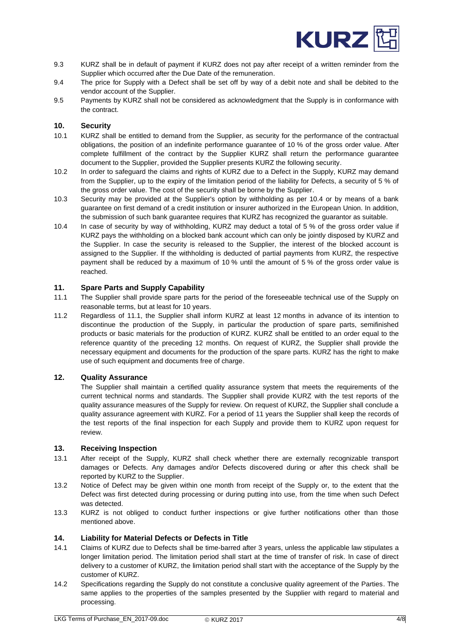

- 9.3 KURZ shall be in default of payment if KURZ does not pay after receipt of a written reminder from the Supplier which occurred after the Due Date of the remuneration.
- 9.4 The price for Supply with a Defect shall be set off by way of a debit note and shall be debited to the vendor account of the Supplier.
- 9.5 Payments by KURZ shall not be considered as acknowledgment that the Supply is in conformance with the contract.

#### <span id="page-3-0"></span>**10. Security**

- 10.1 KURZ shall be entitled to demand from the Supplier, as security for the performance of the contractual obligations, the position of an indefinite performance guarantee of 10 % of the gross order value. After complete fulfillment of the contract by the Supplier KURZ shall return the performance guarantee document to the Supplier, provided the Supplier presents KURZ the following security.
- 10.2 In order to safeguard the claims and rights of KURZ due to a Defect in the Supply, KURZ may demand from the Supplier, up to the expiry of the limitation period of the liability for Defects, a security of 5 % of the gross order value. The cost of the security shall be borne by the Supplier.
- 10.3 Security may be provided at the Supplier's option by withholding as per 10.4 or by means of a bank guarantee on first demand of a credit institution or insurer authorized in the European Union. In addition, the submission of such bank guarantee requires that KURZ has recognized the guarantor as suitable.
- 10.4 In case of security by way of withholding, KURZ may deduct a total of 5 % of the gross order value if KURZ pays the withholding on a blocked bank account which can only be jointly disposed by KURZ and the Supplier. In case the security is released to the Supplier, the interest of the blocked account is assigned to the Supplier. If the withholding is deducted of partial payments from KURZ, the respective payment shall be reduced by a maximum of 10 % until the amount of 5 % of the gross order value is reached.

### <span id="page-3-1"></span>**11. Spare Parts and Supply Capability**

- 11.1 The Supplier shall provide spare parts for the period of the foreseeable technical use of the Supply on reasonable terms, but at least for 10 years.
- 11.2 Regardless of 11.1, the Supplier shall inform KURZ at least 12 months in advance of its intention to discontinue the production of the Supply, in particular the production of spare parts, semifinished products or basic materials for the production of KURZ. KURZ shall be entitled to an order equal to the reference quantity of the preceding 12 months. On request of KURZ, the Supplier shall provide the necessary equipment and documents for the production of the spare parts. KURZ has the right to make use of such equipment and documents free of charge.

#### <span id="page-3-2"></span>**12. Quality Assurance**

The Supplier shall maintain a certified quality assurance system that meets the requirements of the current technical norms and standards. The Supplier shall provide KURZ with the test reports of the quality assurance measures of the Supply for review. On request of KURZ, the Supplier shall conclude a quality assurance agreement with KURZ. For a period of 11 years the Supplier shall keep the records of the test reports of the final inspection for each Supply and provide them to KURZ upon request for review.

#### <span id="page-3-3"></span>**13. Receiving Inspection**

- 13.1 After receipt of the Supply, KURZ shall check whether there are externally recognizable transport damages or Defects. Any damages and/or Defects discovered during or after this check shall be reported by KURZ to the Supplier.
- 13.2 Notice of Defect may be given within one month from receipt of the Supply or, to the extent that the Defect was first detected during processing or during putting into use, from the time when such Defect was detected.
- 13.3 KURZ is not obliged to conduct further inspections or give further notifications other than those mentioned above.

### <span id="page-3-4"></span>**14. Liability for Material Defects or Defects in Title**

- 14.1 Claims of KURZ due to Defects shall be time-barred after 3 years, unless the applicable law stipulates a longer limitation period. The limitation period shall start at the time of transfer of risk. In case of direct delivery to a customer of KURZ, the limitation period shall start with the acceptance of the Supply by the customer of KURZ.
- 14.2 Specifications regarding the Supply do not constitute a conclusive quality agreement of the Parties. The same applies to the properties of the samples presented by the Supplier with regard to material and processing.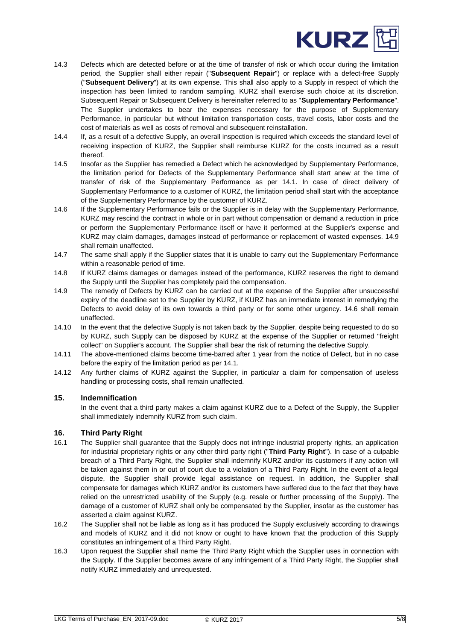

- 14.3 Defects which are detected before or at the time of transfer of risk or which occur during the limitation period, the Supplier shall either repair ("**Subsequent Repair**") or replace with a defect-free Supply ("**Subsequent Delivery**") at its own expense. This shall also apply to a Supply in respect of which the inspection has been limited to random sampling. KURZ shall exercise such choice at its discretion. Subsequent Repair or Subsequent Delivery is hereinafter referred to as "**Supplementary Performance**". The Supplier undertakes to bear the expenses necessary for the purpose of Supplementary Performance, in particular but without limitation transportation costs, travel costs, labor costs and the cost of materials as well as costs of removal and subsequent reinstallation.
- 14.4 If, as a result of a defective Supply, an overall inspection is required which exceeds the standard level of receiving inspection of KURZ, the Supplier shall reimburse KURZ for the costs incurred as a result thereof.
- 14.5 Insofar as the Supplier has remedied a Defect which he acknowledged by Supplementary Performance, the limitation period for Defects of the Supplementary Performance shall start anew at the time of transfer of risk of the Supplementary Performance as per 14.1. In case of direct delivery of Supplementary Performance to a customer of KURZ, the limitation period shall start with the acceptance of the Supplementary Performance by the customer of KURZ.
- 14.6 If the Supplementary Performance fails or the Supplier is in delay with the Supplementary Performance, KURZ may rescind the contract in whole or in part without compensation or demand a reduction in price or perform the Supplementary Performance itself or have it performed at the Supplier's expense and KURZ may claim damages, damages instead of performance or replacement of wasted expenses. 14.9 shall remain unaffected.
- 14.7 The same shall apply if the Supplier states that it is unable to carry out the Supplementary Performance within a reasonable period of time.
- 14.8 If KURZ claims damages or damages instead of the performance, KURZ reserves the right to demand the Supply until the Supplier has completely paid the compensation.
- 14.9 The remedy of Defects by KURZ can be carried out at the expense of the Supplier after unsuccessful expiry of the deadline set to the Supplier by KURZ, if KURZ has an immediate interest in remedying the Defects to avoid delay of its own towards a third party or for some other urgency. 14.6 shall remain unaffected.
- 14.10 In the event that the defective Supply is not taken back by the Supplier, despite being requested to do so by KURZ, such Supply can be disposed by KURZ at the expense of the Supplier or returned "freight collect" on Supplier's account. The Supplier shall bear the risk of returning the defective Supply.
- 14.11 The above-mentioned claims become time-barred after 1 year from the notice of Defect, but in no case before the expiry of the limitation period as per 14.1.
- 14.12 Any further claims of KURZ against the Supplier, in particular a claim for compensation of useless handling or processing costs, shall remain unaffected.

# <span id="page-4-0"></span>**15. Indemnification**

In the event that a third party makes a claim against KURZ due to a Defect of the Supply, the Supplier shall immediately indemnify KURZ from such claim.

# <span id="page-4-1"></span>**16. Third Party Right**

- 16.1 The Supplier shall guarantee that the Supply does not infringe industrial property rights, an application for industrial proprietary rights or any other third party right ("**Third Party Right**"). In case of a culpable breach of a Third Party Right, the Supplier shall indemnify KURZ and/or its customers if any action will be taken against them in or out of court due to a violation of a Third Party Right. In the event of a legal dispute, the Supplier shall provide legal assistance on request. In addition, the Supplier shall compensate for damages which KURZ and/or its customers have suffered due to the fact that they have relied on the unrestricted usability of the Supply (e.g. resale or further processing of the Supply). The damage of a customer of KURZ shall only be compensated by the Supplier, insofar as the customer has asserted a claim against KURZ.
- 16.2 The Supplier shall not be liable as long as it has produced the Supply exclusively according to drawings and models of KURZ and it did not know or ought to have known that the production of this Supply constitutes an infringement of a Third Party Right.
- 16.3 Upon request the Supplier shall name the Third Party Right which the Supplier uses in connection with the Supply. If the Supplier becomes aware of any infringement of a Third Party Right, the Supplier shall notify KURZ immediately and unrequested.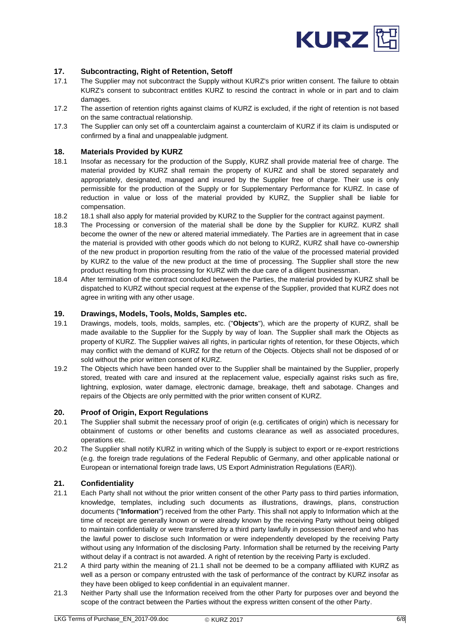

# <span id="page-5-0"></span>**17. Subcontracting, Right of Retention, Setoff**

- 17.1 The Supplier may not subcontract the Supply without KURZ's prior written consent. The failure to obtain KURZ's consent to subcontract entitles KURZ to rescind the contract in whole or in part and to claim damages.
- 17.2 The assertion of retention rights against claims of KURZ is excluded, if the right of retention is not based on the same contractual relationship.
- 17.3 The Supplier can only set off a counterclaim against a counterclaim of KURZ if its claim is undisputed or confirmed by a final and unappealable judgment.

### <span id="page-5-1"></span>**18. Materials Provided by KURZ**

- 18.1 Insofar as necessary for the production of the Supply, KURZ shall provide material free of charge. The material provided by KURZ shall remain the property of KURZ and shall be stored separately and appropriately, designated, managed and insured by the Supplier free of charge. Their use is only permissible for the production of the Supply or for Supplementary Performance for KURZ. In case of reduction in value or loss of the material provided by KURZ, the Supplier shall be liable for compensation.
- 18.2 18.1 shall also apply for material provided by KURZ to the Supplier for the contract against payment.
- 18.3 The Processing or conversion of the material shall be done by the Supplier for KURZ. KURZ shall become the owner of the new or altered material immediately. The Parties are in agreement that in case the material is provided with other goods which do not belong to KURZ, KURZ shall have co-ownership of the new product in proportion resulting from the ratio of the value of the processed material provided by KURZ to the value of the new product at the time of processing. The Supplier shall store the new product resulting from this processing for KURZ with the due care of a diligent businessman.
- 18.4 After termination of the contract concluded between the Parties, the material provided by KURZ shall be dispatched to KURZ without special request at the expense of the Supplier, provided that KURZ does not agree in writing with any other usage.

### <span id="page-5-2"></span>**19. Drawings, Models, Tools, Molds, Samples etc.**

- 19.1 Drawings, models, tools, molds, samples, etc. ("**Objects**"), which are the property of KURZ, shall be made available to the Supplier for the Supply by way of loan. The Supplier shall mark the Objects as property of KURZ. The Supplier waives all rights, in particular rights of retention, for these Objects, which may conflict with the demand of KURZ for the return of the Objects. Objects shall not be disposed of or sold without the prior written consent of KURZ.
- 19.2 The Objects which have been handed over to the Supplier shall be maintained by the Supplier, properly stored, treated with care and insured at the replacement value, especially against risks such as fire, lightning, explosion, water damage, electronic damage, breakage, theft and sabotage. Changes and repairs of the Objects are only permitted with the prior written consent of KURZ.

#### <span id="page-5-3"></span>**20. Proof of Origin, Export Regulations**

- 20.1 The Supplier shall submit the necessary proof of origin (e.g. certificates of origin) which is necessary for obtainment of customs or other benefits and customs clearance as well as associated procedures, operations etc.
- 20.2 The Supplier shall notify KURZ in writing which of the Supply is subject to export or re-export restrictions (e.g. the foreign trade regulations of the Federal Republic of Germany, and other applicable national or European or international foreign trade laws, US Export Administration Regulations (EAR)).

#### <span id="page-5-4"></span>**21. Confidentiality**

- 21.1 Each Party shall not without the prior written consent of the other Party pass to third parties information, knowledge, templates, including such documents as illustrations, drawings, plans, construction documents ("**Information**") received from the other Party. This shall not apply to Information which at the time of receipt are generally known or were already known by the receiving Party without being obliged to maintain confidentiality or were transferred by a third party lawfully in possession thereof and who has the lawful power to disclose such Information or were independently developed by the receiving Party without using any Information of the disclosing Party. Information shall be returned by the receiving Party without delay if a contract is not awarded. A right of retention by the receiving Party is excluded.
- 21.2 A third party within the meaning of 21.1 shall not be deemed to be a company affiliated with KURZ as well as a person or company entrusted with the task of performance of the contract by KURZ insofar as they have been obliged to keep confidential in an equivalent manner.
- 21.3 Neither Party shall use the Information received from the other Party for purposes over and beyond the scope of the contract between the Parties without the express written consent of the other Party.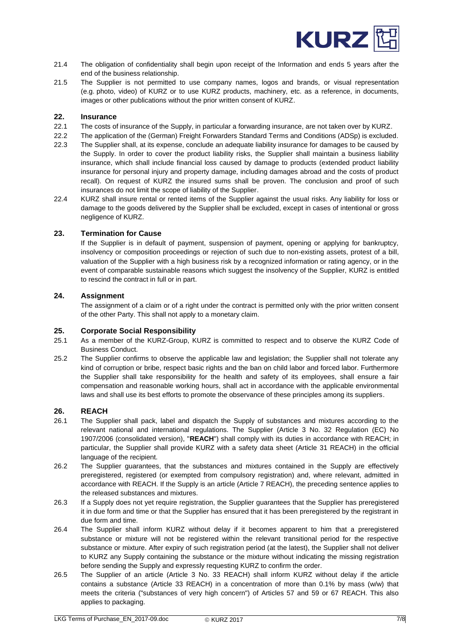

- 21.4 The obligation of confidentiality shall begin upon receipt of the Information and ends 5 years after the end of the business relationship.
- 21.5 The Supplier is not permitted to use company names, logos and brands, or visual representation (e.g. photo, video) of KURZ or to use KURZ products, machinery, etc. as a reference, in documents, images or other publications without the prior written consent of KURZ.

#### <span id="page-6-0"></span>**22. Insurance**

- 22.1 The costs of insurance of the Supply, in particular a forwarding insurance, are not taken over by KURZ.
- 22.2 The application of the (German) Freight Forwarders Standard Terms and Conditions (ADSp) is excluded.
- 22.3 The Supplier shall, at its expense, conclude an adequate liability insurance for damages to be caused by the Supply. In order to cover the product liability risks, the Supplier shall maintain a business liability insurance, which shall include financial loss caused by damage to products (extended product liability insurance for personal injury and property damage, including damages abroad and the costs of product recall). On request of KURZ the insured sums shall be proven. The conclusion and proof of such insurances do not limit the scope of liability of the Supplier.
- 22.4 KURZ shall insure rental or rented items of the Supplier against the usual risks. Any liability for loss or damage to the goods delivered by the Supplier shall be excluded, except in cases of intentional or gross negligence of KURZ.

#### <span id="page-6-1"></span>**23. Termination for Cause**

If the Supplier is in default of payment, suspension of payment, opening or applying for bankruptcy, insolvency or composition proceedings or rejection of such due to non-existing assets, protest of a bill, valuation of the Supplier with a high business risk by a recognized information or rating agency, or in the event of comparable sustainable reasons which suggest the insolvency of the Supplier, KURZ is entitled to rescind the contract in full or in part.

### <span id="page-6-2"></span>**24. Assignment**

The assignment of a claim or of a right under the contract is permitted only with the prior written consent of the other Party. This shall not apply to a monetary claim.

### <span id="page-6-3"></span>**25. Corporate Social Responsibility**

- 25.1 As a member of the KURZ-Group, KURZ is committed to respect and to observe the KURZ Code of Business Conduct.
- 25.2 The Supplier confirms to observe the applicable law and legislation; the Supplier shall not tolerate any kind of corruption or bribe, respect basic rights and the ban on child labor and forced labor. Furthermore the Supplier shall take responsibility for the health and safety of its employees, shall ensure a fair compensation and reasonable working hours, shall act in accordance with the applicable environmental laws and shall use its best efforts to promote the observance of these principles among its suppliers.

# <span id="page-6-4"></span>**26. REACH**

- 26.1 The Supplier shall pack, label and dispatch the Supply of substances and mixtures according to the relevant national and international regulations. The Supplier (Article 3 No. 32 Regulation (EC) No 1907/2006 (consolidated version), "**REACH**") shall comply with its duties in accordance with REACH; in particular, the Supplier shall provide KURZ with a safety data sheet (Article 31 REACH) in the official language of the recipient.
- 26.2 The Supplier guarantees, that the substances and mixtures contained in the Supply are effectively preregistered, registered (or exempted from compulsory registration) and, where relevant, admitted in accordance with REACH. If the Supply is an article (Article 7 REACH), the preceding sentence applies to the released substances and mixtures.
- 26.3 If a Supply does not yet require registration, the Supplier guarantees that the Supplier has preregistered it in due form and time or that the Supplier has ensured that it has been preregistered by the registrant in due form and time.
- 26.4 The Supplier shall inform KURZ without delay if it becomes apparent to him that a preregistered substance or mixture will not be registered within the relevant transitional period for the respective substance or mixture. After expiry of such registration period (at the latest), the Supplier shall not deliver to KURZ any Supply containing the substance or the mixture without indicating the missing registration before sending the Supply and expressly requesting KURZ to confirm the order.
- 26.5 The Supplier of an article (Article 3 No. 33 REACH) shall inform KURZ without delay if the article contains a substance (Article 33 REACH) in a concentration of more than 0.1% by mass (w/w) that meets the criteria ("substances of very high concern") of Articles 57 and 59 or 67 REACH. This also applies to packaging.